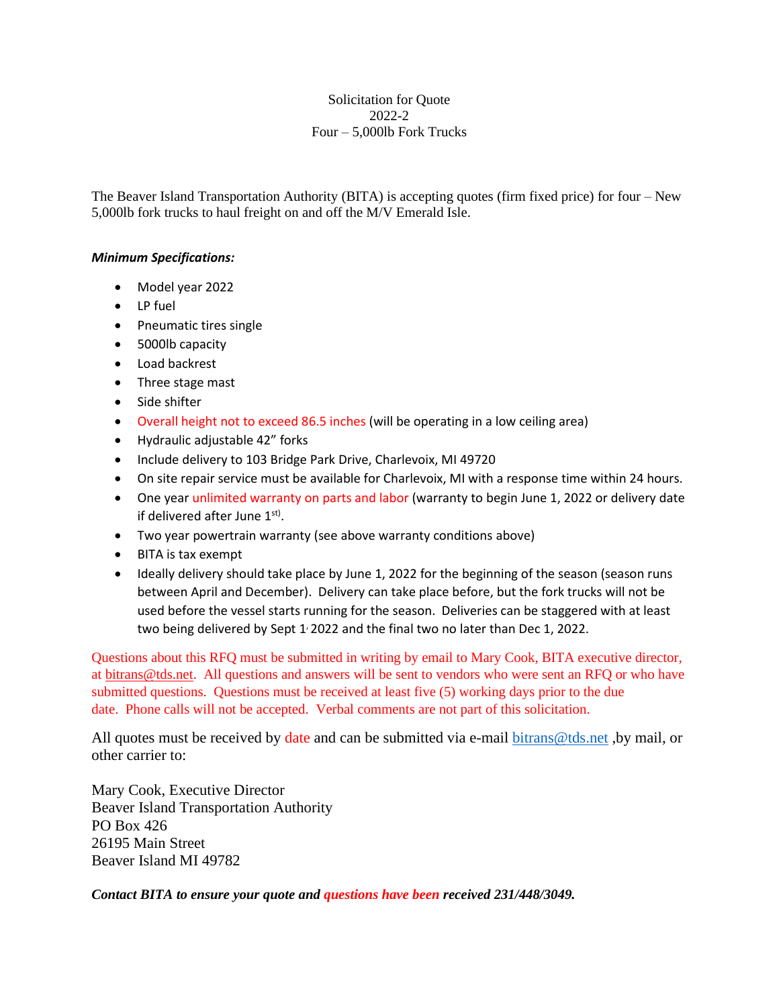## Solicitation for Quote 2022-2 Four – 5,000lb Fork Trucks

The Beaver Island Transportation Authority (BITA) is accepting quotes (firm fixed price) for four – New 5,000lb fork trucks to haul freight on and off the M/V Emerald Isle.

## *Minimum Specifications:*

- Model year 2022
- LP fuel
- Pneumatic tires single
- 5000lb capacity
- Load backrest
- Three stage mast
- Side shifter
- Overall height not to exceed 86.5 inches (will be operating in a low ceiling area)
- Hydraulic adjustable 42" forks
- Include delivery to 103 Bridge Park Drive, Charlevoix, MI 49720
- On site repair service must be available for Charlevoix, MI with a response time within 24 hours.
- One year unlimited warranty on parts and labor (warranty to begin June 1, 2022 or delivery date if delivered after June  $1<sup>st</sup>$ .
- Two year powertrain warranty (see above warranty conditions above)
- BITA is tax exempt
- Ideally delivery should take place by June 1, 2022 for the beginning of the season (season runs between April and December). Delivery can take place before, but the fork trucks will not be used before the vessel starts running for the season. Deliveries can be staggered with at least two being delivered by Sept 1<sup>,</sup> 2022 and the final two no later than Dec 1, 2022.

Questions about this RFQ must be submitted in writing by email to Mary Cook, BITA executive director, at [bitrans@tds.net.](mailto:bitrans@tds.net) All questions and answers will be sent to vendors who were sent an RFQ or who have submitted questions. Questions must be received at least five (5) working days prior to the due date. Phone calls will not be accepted. Verbal comments are not part of this solicitation.

All quotes must be received by date and can be submitted via e-mail bitrans @tds.net , by mail, or other carrier to:

Mary Cook, Executive Director Beaver Island Transportation Authority PO Box 426 26195 Main Street Beaver Island MI 49782

*Contact BITA to ensure your quote and questions have been received 231/448/3049.*